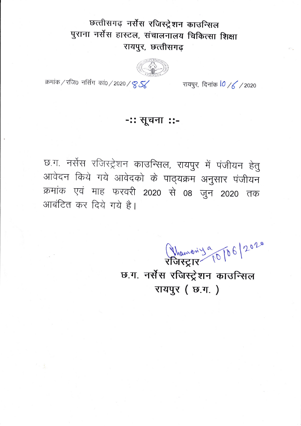## छत्तीसगढ़ नर्सेंस रजिस्ट्रेशन काउन्सिल पुराना नर्सेस हास्टल, संचालनालय चिकित्सा शिक्षा रायपुर, छत्तीसगढ़

क्रमांक / रजि0) नर्सिंग कां0 / 2020 / <mark>8 SK</mark>

रायपुर, दिनांक 10 /6 / 2020

## -:: सूचना ::-

छ.ग. नर्सेस रजिस्ट्रेशन काउन्सिल, रायपुर में पंजीयन हेतु आवेदन किये गये आवेदको के पाठ्यक्रम अनुसार पंजीयन क्रमांक एवं माह फरवरी 2020 से 08 जुन 2020 तक आबंटित कर दिये गये है।

Manony 9 10 6/2020

छ.ग. नर्सेस रजिस्ट्रेशन काउन्सिल रायपुर ( छ.ग. )